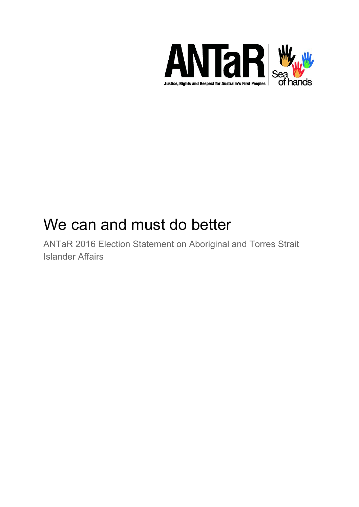

# We can and must do better

ANTaR 2016 Election Statement on Aboriginal and Torres Strait Islander Affairs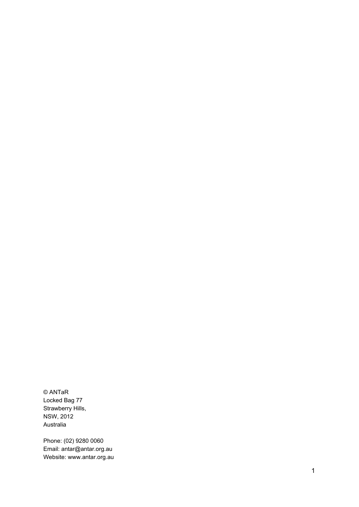© ANTaR Locked Bag 77 Strawberry Hills, NSW, 2012 Australia

Phone: (02) 9280 0060 Email: antar@antar.org.au Website: www.antar.org.au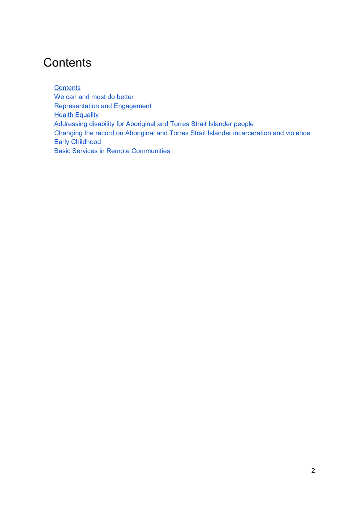## <span id="page-2-0"></span>**Contents**

**[Contents](#page-2-0)** We can and must do [better](#page-3-0) [Representation](#page-5-0) and Engagement **Health [Equality](#page-8-0)** [Addressing](#page-12-0) disability for Aboriginal and Torres Strait Islander people Changing the record on Aboriginal and Torres Strait Islander [incarceration](#page-14-0) and violence Early [Childhood](#page-19-0) Basic Services in Remote [Communities](#page-22-0)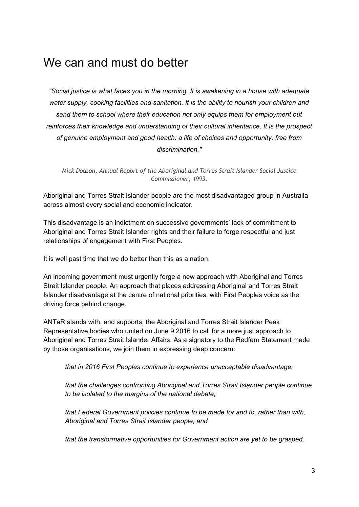## <span id="page-3-0"></span>We can and must do better

*"Social justice is what faces you in the morning. It is awakening in a house with adequate water supply, cooking facilities and sanitation. It is the ability to nourish your children and send them to school where their education not only equips them for employment but reinforces their knowledge and understanding of their cultural inheritance. It is the prospect of genuine employment and good health: a life of choices and opportunity, free from discrimination."*

*Mick Dodson, Annual Report of the Aboriginal and Torres Strait Islander Social Justice Commissioner, 1993.*

Aboriginal and Torres Strait Islander people are the most disadvantaged group in Australia across almost every social and economic indicator.

This disadvantage is an indictment on successive governments' lack of commitment to Aboriginal and Torres Strait Islander rights and their failure to forge respectful and just relationships of engagement with First Peoples.

It is well past time that we do better than this as a nation.

An incoming government must urgently forge a new approach with Aboriginal and Torres Strait Islander people. An approach that places addressing Aboriginal and Torres Strait Islander disadvantage at the centre of national priorities, with First Peoples voice as the driving force behind change.

ANTaR stands with, and supports, the Aboriginal and Torres Strait Islander Peak Representative bodies who united on June 9 2016 to call for a more just approach to Aboriginal and Torres Strait Islander Affairs. As a signatory to the Redfern Statement made by those organisations, we join them in expressing deep concern:

*that in 2016 First Peoples continue to experience unacceptable disadvantage;*

*that the challenges confronting Aboriginal and Torres Strait Islander people continue to be isolated to the margins of the national debate;*

*that Federal Government policies continue to be made for and to, rather than with, Aboriginal and Torres Strait Islander people; and*

*that the transformative opportunities for Government action are yet to be grasped.*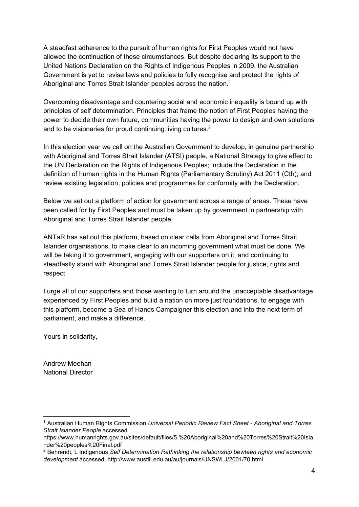A steadfast adherence to the pursuit of human rights for First Peoples would not have allowed the continuation of these circumstances. But despite declaring its support to the United Nations Declaration on the Rights of Indigenous Peoples in 2009, the Australian Government is yet to revise laws and policies to fully recognise and protect the rights of Aboriginal and Torres Strait Islander peoples across the nation.<sup>1</sup>

Overcoming disadvantage and countering social and economic inequality is bound up with principles of self determination. Principles that frame the notion of First Peoples having the power to decide their own future, communities having the power to design and own solutions and to be visionaries for proud continuing living cultures.<sup>2</sup>

In this election year we call on the Australian Government to develop, in genuine partnership with Aboriginal and Torres Strait Islander (ATSI) people, a National Strategy to give effect to the UN Declaration on the Rights of Indigenous Peoples; include the Declaration in the definition of human rights in the Human Rights (Parliamentary Scrutiny) Act 2011 (Cth); and review existing legislation, policies and programmes for conformity with the Declaration.

Below we set out a platform of action for government across a range of areas. These have been called for by First Peoples and must be taken up by government in partnership with Aboriginal and Torres Strait Islander people.

ANTaR has set out this platform, based on clear calls from Aboriginal and Torres Strait Islander organisations, to make clear to an incoming government what must be done. We will be taking it to government, engaging with our supporters on it, and continuing to steadfastly stand with Aboriginal and Torres Strait Islander people for justice, rights and respect.

I urge all of our supporters and those wanting to turn around the unacceptable disadvantage experienced by First Peoples and build a nation on more just foundations, to engage with this platform, become a Sea of Hands Campaigner this election and into the next term of parliament, and make a difference.

Yours in solidarity,

Andrew Meehan National Director

<sup>1</sup> Australian Human Rights Commission *Universal Periodic Review Fact Sheet Aboriginal and Torres Strait Islander People* accessed

https://www.humanrights.gov.au/sites/default/files/5.%20Aboriginal%20and%20Torres%20Strait%20Isla nder%20peoples%20Final.pdf

<sup>2</sup> Behrendt, L Indigenous *Self Determination Rethinking the relationship bewteen rights and economic development* accessed http://www.austlii.edu.au/au/journals/UNSWLJ/2001/70.html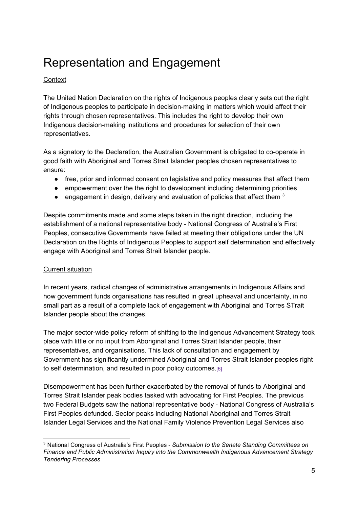## <span id="page-5-0"></span>Representation and Engagement

## **Context**

The United Nation Declaration on the rights of Indigenous peoples clearly sets out the right of Indigenous peoples to participate in decision-making in matters which would affect their rights through chosen representatives. This includes the right to develop their own Indigenous decision-making institutions and procedures for selection of their own representatives.

As a signatory to the Declaration, the Australian Government is obligated to co-operate in good faith with Aboriginal and Torres Strait Islander peoples chosen representatives to ensure:

- free, prior and informed consent on legislative and policy measures that affect them
- empowerment over the the right to development including determining priorities
- engagement in design, delivery and evaluation of policies that affect them  $3$

Despite commitments made and some steps taken in the right direction, including the establishment of a national representative body - National Congress of Australia's First Peoples, consecutive Governments have failed at meeting their obligations under the UN Declaration on the Rights of Indigenous Peoples to support self determination and effectively engage with Aboriginal and Torres Strait Islander people.

#### Current situation

In recent years, radical changes of administrative arrangements in Indigenous Affairs and how government funds organisations has resulted in great upheaval and uncertainty, in no small part as a result of a complete lack of engagement with Aboriginal and Torres STrait Islander people about the changes.

The major sector-wide policy reform of shifting to the Indigenous Advancement Strategy took place with little or no input from Aboriginal and Torres Strait Islander people, their representatives, and organisations. This lack of consultation and engagement by Government has significantly undermined Aboriginal and Torres Strait Islander peoples right to self determination, and resulted in poor policy outcomes.[\[6\]](http://www.aph.gov.au/Parliamentary_Business/Committees/Senate/Finance_and_Public_Administration/Commonwealth_Indigenous/Report/footnotes#c02f6)

Disempowerment has been further exacerbated by the removal of funds to Aboriginal and Torres Strait Islander peak bodies tasked with advocating for First Peoples. The previous two Federal Budgets saw the national representative body - National Congress of Australia's First Peoples defunded. Sector peaks including National Aboriginal and Torres Strait Islander Legal Services and the National Family Violence Prevention Legal Services also

<sup>3</sup> National Congress of Australia's First Peoples *Submission to the Senate Standing Committees on Finance and Public Administration Inquiry into the Commonwealth Indigenous Advancement Strategy Tendering Processes*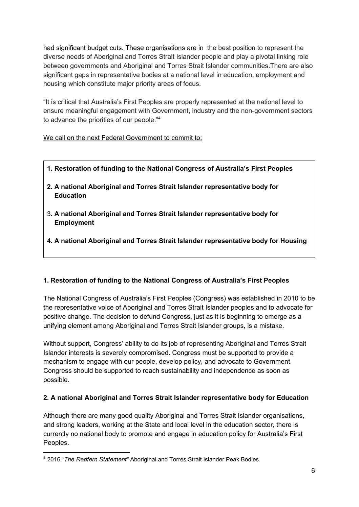had significant budget cuts. These organisations are in the best position to represent the diverse needs of Aboriginal and Torres Strait Islander people and play a pivotal linking role between governments and Aboriginal and Torres Strait Islander communities.There are also significant gaps in representative bodies at a national level in education, employment and housing which constitute major priority areas of focus.

"It is critical that Australia's First Peoples are properly represented at the national level to ensure meaningful engagement with Government, industry and the nongovernment sectors to advance the priorities of our people." 4

We call on the next Federal Government to commit to:

- **1. Restoration of funding to the National Congress of Australia's First Peoples**
- **2. A national Aboriginal and Torres Strait Islander representative body for Education**
- 3**. A national Aboriginal and Torres Strait Islander representative body for Employment**
- **4. A national Aboriginal and Torres Strait Islander representative body for Housing**

## **1. Restoration of funding to the National Congress of Australia's First Peoples**

The National Congress of Australia's First Peoples (Congress) was established in 2010 to be the representative voice of Aboriginal and Torres Strait Islander peoples and to advocate for positive change. The decision to defund Congress, just as it is beginning to emerge as a unifying element among Aboriginal and Torres Strait Islander groups, is a mistake.

Without support, Congress' ability to do its job of representing Aboriginal and Torres Strait Islander interests is severely compromised. Congress must be supported to provide a mechanism to engage with our people, develop policy, and advocate to Government. Congress should be supported to reach sustainability and independence as soon as possible.

## **2. A national Aboriginal and Torres Strait Islander representative body for Education**

Although there are many good quality Aboriginal and Torres Strait Islander organisations, and strong leaders, working at the State and local level in the education sector, there is currently no national body to promote and engage in education policy for Australia's First Peoples.

<sup>4</sup> 2016 *"The Redfern Statement"* Aboriginal and Torres Strait Islander Peak Bodies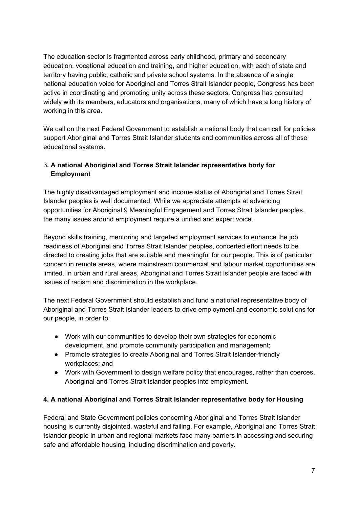The education sector is fragmented across early childhood, primary and secondary education, vocational education and training, and higher education, with each of state and territory having public, catholic and private school systems. In the absence of a single national education voice for Aboriginal and Torres Strait Islander people, Congress has been active in coordinating and promoting unity across these sectors. Congress has consulted widely with its members, educators and organisations, many of which have a long history of working in this area.

We call on the next Federal Government to establish a national body that can call for policies support Aboriginal and Torres Strait Islander students and communities across all of these educational systems.

## 3**. A national Aboriginal and Torres Strait Islander representative body for Employment**

The highly disadvantaged employment and income status of Aboriginal and Torres Strait Islander peoples is well documented. While we appreciate attempts at advancing opportunities for Aboriginal 9 Meaningful Engagement and Torres Strait Islander peoples, the many issues around employment require a unified and expert voice.

Beyond skills training, mentoring and targeted employment services to enhance the job readiness of Aboriginal and Torres Strait Islander peoples, concerted effort needs to be directed to creating jobs that are suitable and meaningful for our people. This is of particular concern in remote areas, where mainstream commercial and labour market opportunities are limited. In urban and rural areas, Aboriginal and Torres Strait Islander people are faced with issues of racism and discrimination in the workplace.

The next Federal Government should establish and fund a national representative body of Aboriginal and Torres Strait Islander leaders to drive employment and economic solutions for our people, in order to:

- Work with our communities to develop their own strategies for economic development, and promote community participation and management;
- Promote strategies to create Aboriginal and Torres Strait Islander-friendly workplaces; and
- Work with Government to design welfare policy that encourages, rather than coerces, Aboriginal and Torres Strait Islander peoples into employment.

## **4. A national Aboriginal and Torres Strait Islander representative body for Housing**

Federal and State Government policies concerning Aboriginal and Torres Strait Islander housing is currently disjointed, wasteful and failing. For example, Aboriginal and Torres Strait Islander people in urban and regional markets face many barriers in accessing and securing safe and affordable housing, including discrimination and poverty.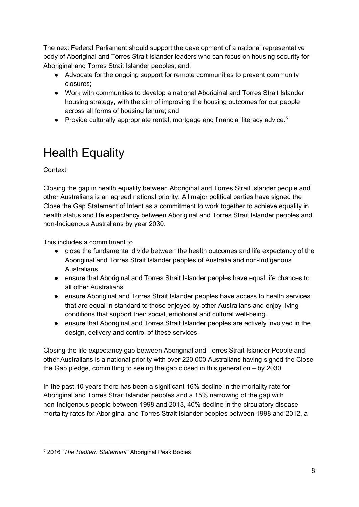The next Federal Parliament should support the development of a national representative body of Aboriginal and Torres Strait Islander leaders who can focus on housing security for Aboriginal and Torres Strait Islander peoples, and:

- Advocate for the ongoing support for remote communities to prevent community closures;
- Work with communities to develop a national Aboriginal and Torres Strait Islander housing strategy, with the aim of improving the housing outcomes for our people across all forms of housing tenure; and
- Provide culturally appropriate rental, mortgage and financial literacy advice.<sup>5</sup>

## <span id="page-8-0"></span>Health Equality

## **Context**

Closing the gap in health equality between Aboriginal and Torres Strait Islander people and other Australians is an agreed national priority. All major political parties have signed the Close the Gap Statement of Intent as a commitment to work together to achieve equality in health status and life expectancy between Aboriginal and Torres Strait Islander peoples and non-Indigenous Australians by year 2030.

This includes a commitment to

- close the fundamental divide between the health outcomes and life expectancy of the Aboriginal and Torres Strait Islander peoples of Australia and non-Indigenous Australians.
- ensure that Aboriginal and Torres Strait Islander peoples have equal life chances to all other Australians.
- ensure Aboriginal and Torres Strait Islander peoples have access to health services that are equal in standard to those enjoyed by other Australians and enjoy living conditions that support their social, emotional and cultural well-being.
- ensure that Aboriginal and Torres Strait Islander peoples are actively involved in the design, delivery and control of these services.

Closing the life expectancy gap between Aboriginal and Torres Strait Islander People and other Australians is a national priority with over 220,000 Australians having signed the Close the Gap pledge, committing to seeing the gap closed in this generation – by 2030.

In the past 10 years there has been a significant 16% decline in the mortality rate for Aboriginal and Torres Strait Islander peoples and a 15% narrowing of the gap with non-Indigenous people between 1998 and 2013, 40% decline in the circulatory disease mortality rates for Aboriginal and Torres Strait Islander peoples between 1998 and 2012, a

<sup>5</sup> 2016 *"The Redfern Statement"* Aboriginal Peak Bodies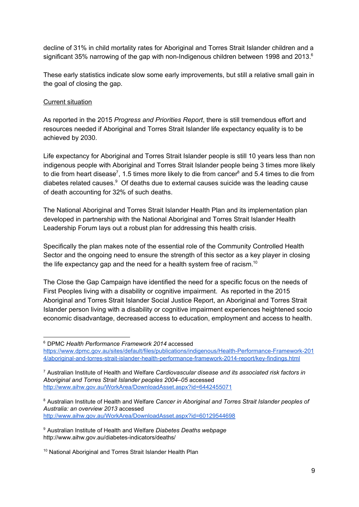decline of 31% in child mortality rates for Aboriginal and Torres Strait Islander children and a significant 35% narrowing of the gap with non-Indigenous children between 1998 and 2013. $^6$ 

These early statistics indicate slow some early improvements, but still a relative small gain in the goal of closing the gap.

#### Current situation

As reported in the 2015 *Progress and Priorities Report*, there is still tremendous effort and resources needed if Aboriginal and Torres Strait Islander life expectancy equality is to be achieved by 2030.

Life expectancy for Aboriginal and Torres Strait Islander people is still 10 years less than non indigenous people with Aboriginal and Torres Strait Islander people being 3 times more likely to die from heart disease<sup>7</sup>, 1.5 times more likely to die from cancer<sup>8</sup> and 5.4 times to die from diabetes related causes. $9$  Of deaths due to external causes suicide was the leading cause of death accounting for 32% of such deaths.

The National Aboriginal and Torres Strait Islander Health Plan and its implementation plan developed in partnership with the National Aboriginal and Torres Strait Islander Health Leadership Forum lays out a robust plan for addressing this health crisis.

Specifically the plan makes note of the essential role of the Community Controlled Health Sector and the ongoing need to ensure the strength of this sector as a key player in closing the life expectancy gap and the need for a health system free of racism.<sup>10</sup>

The Close the Gap Campaign have identified the need for a specific focus on the needs of First Peoples living with a disability or cognitive impairment. As reported in the 2015 Aboriginal and Torres Strait Islander Social Justice Report, an Aboriginal and Torres Strait Islander person living with a disability or cognitive impairment experiences heightened socio economic disadvantage, decreased access to education, employment and access to health.

<sup>6</sup> DPMC *Health Performance Framework 2014* accessed https://www.dpmc.gov.au/sites/default/files/publications/indigenous/Health-Performance-Framework-201 4/aboriginal-and-torres-strait-islander-health-performance-framework-2014-report/key-findings.html

<sup>7</sup> Australian Institute of Health and Welfare *Cardiovascular disease and its associated risk factors in Aboriginal and Torres Strait Islander peoples 2004–05* accessed <http://www.aihw.gov.au/WorkArea/DownloadAsset.aspx?id=6442455071>

<sup>8</sup> Australian Institute of Health and Welfare *Cancer in Aboriginal and Torres Strait Islander peoples of Australia: an overview 2013* accessed <http://www.aihw.gov.au/WorkArea/DownloadAsset.aspx?id=60129544698>

<sup>9</sup> Australian Institute of Health and Welfare *Diabetes Deaths webpage* http://www.aihw.gov.au/diabetes-indicators/deaths/

<sup>&</sup>lt;sup>10</sup> National Aboriginal and Torres Strait Islander Health Plan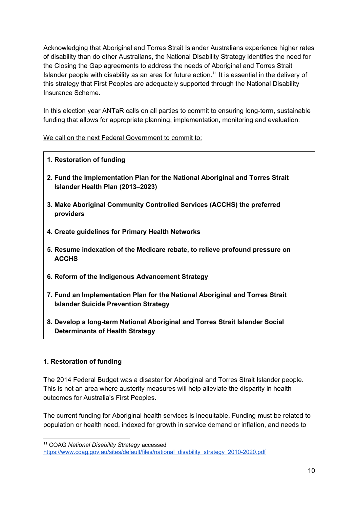Acknowledging that Aboriginal and Torres Strait Islander Australians experience higher rates of disability than do other Australians, the National Disability Strategy identifies the need for the Closing the Gap agreements to address the needs of Aboriginal and Torres Strait Islander people with disability as an area for future action.<sup>11</sup> It is essential in the delivery of this strategy that First Peoples are adequately supported through the National Disability Insurance Scheme.

In this election year ANTaR calls on all parties to commit to ensuring long-term, sustainable funding that allows for appropriate planning, implementation, monitoring and evaluation.

#### We call on the next Federal Government to commit to:

#### **1. Restoration of funding**

- **2. Fund the Implementation Plan for the National Aboriginal and Torres Strait Islander Health Plan (2013–2023)**
- **3. Make Aboriginal Community Controlled Services (ACCHS) the preferred providers**
- **4. Create guidelines for Primary Health Networks**
- **5. Resume indexation of the Medicare rebate, to relieve profound pressure on ACCHS**
- **6. Reform of the Indigenous Advancement Strategy**
- **7. Fund an Implementation Plan for the National Aboriginal and Torres Strait Islander Suicide Prevention Strategy**
- **8. Develop a longterm National Aboriginal and Torres Strait Islander Social Determinants of Health Strategy**

#### **1. Restoration of funding**

The 2014 Federal Budget was a disaster for Aboriginal and Torres Strait Islander people. This is not an area where austerity measures will help alleviate the disparity in health outcomes for Australia's First Peoples.

The current funding for Aboriginal health services is inequitable. Funding must be related to population or health need, indexed for growth in service demand or inflation, and needs to

<sup>11</sup> COAG *National Disability Strategy* accessed

https://www.coag.gov.au/sites/default/files/national\_disability\_strategy\_2010-2020.pdf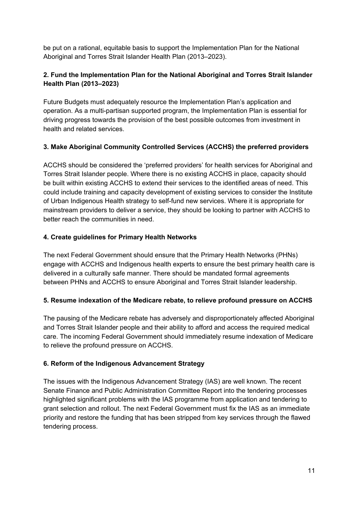be put on a rational, equitable basis to support the Implementation Plan for the National Aboriginal and Torres Strait Islander Health Plan (2013–2023).

## **2. Fund the Implementation Plan for the National Aboriginal and Torres Strait Islander Health Plan (2013–2023)**

Future Budgets must adequately resource the Implementation Plan's application and operation. As a multi-partisan supported program, the Implementation Plan is essential for driving progress towards the provision of the best possible outcomes from investment in health and related services.

### **3. Make Aboriginal Community Controlled Services (ACCHS) the preferred providers**

ACCHS should be considered the 'preferred providers' for health services for Aboriginal and Torres Strait Islander people. Where there is no existing ACCHS in place, capacity should be built within existing ACCHS to extend their services to the identified areas of need. This could include training and capacity development of existing services to consider the Institute of Urban Indigenous Health strategy to selffund new services. Where it is appropriate for mainstream providers to deliver a service, they should be looking to partner with ACCHS to better reach the communities in need.

### **4. Create guidelines for Primary Health Networks**

The next Federal Government should ensure that the Primary Health Networks (PHNs) engage with ACCHS and Indigenous health experts to ensure the best primary health care is delivered in a culturally safe manner. There should be mandated formal agreements between PHNs and ACCHS to ensure Aboriginal and Torres Strait Islander leadership.

#### **5. Resume indexation of the Medicare rebate, to relieve profound pressure on ACCHS**

The pausing of the Medicare rebate has adversely and disproportionately affected Aboriginal and Torres Strait Islander people and their ability to afford and access the required medical care. The incoming Federal Government should immediately resume indexation of Medicare to relieve the profound pressure on ACCHS.

#### **6. Reform of the Indigenous Advancement Strategy**

The issues with the Indigenous Advancement Strategy (IAS) are well known. The recent Senate Finance and Public Administration Committee Report into the tendering processes highlighted significant problems with the IAS programme from application and tendering to grant selection and rollout. The next Federal Government must fix the IAS as an immediate priority and restore the funding that has been stripped from key services through the flawed tendering process.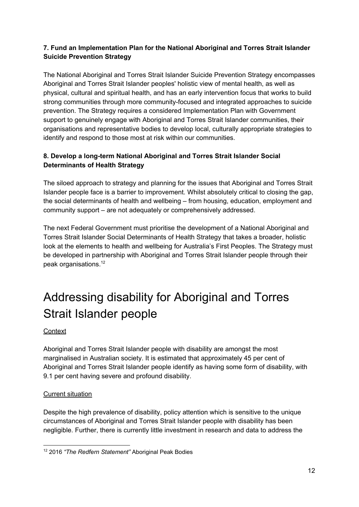## **7. Fund an Implementation Plan for the National Aboriginal and Torres Strait Islander Suicide Prevention Strategy**

The National Aboriginal and Torres Strait Islander Suicide Prevention Strategy encompasses Aboriginal and Torres Strait Islander peoples' holistic view of mental health, as well as physical, cultural and spiritual health, and has an early intervention focus that works to build strong communities through more community-focused and integrated approaches to suicide prevention. The Strategy requires a considered Implementation Plan with Government support to genuinely engage with Aboriginal and Torres Strait Islander communities, their organisations and representative bodies to develop local, culturally appropriate strategies to identify and respond to those most at risk within our communities.

## **8. Develop a longterm National Aboriginal and Torres Strait Islander Social Determinants of Health Strategy**

The siloed approach to strategy and planning for the issues that Aboriginal and Torres Strait Islander people face is a barrier to improvement. Whilst absolutely critical to closing the gap, the social determinants of health and wellbeing – from housing, education, employment and community support – are not adequately or comprehensively addressed.

The next Federal Government must prioritise the development of a National Aboriginal and Torres Strait Islander Social Determinants of Health Strategy that takes a broader, holistic look at the elements to health and wellbeing for Australia's First Peoples. The Strategy must be developed in partnership with Aboriginal and Torres Strait Islander people through their peak organisations. 12

# <span id="page-12-0"></span>Addressing disability for Aboriginal and Torres Strait Islander people

## **Context**

Aboriginal and Torres Strait Islander people with disability are amongst the most marginalised in Australian society. It is estimated that approximately 45 per cent of Aboriginal and Torres Strait Islander people identify as having some form of disability, with 9.1 per cent having severe and profound disability.

#### Current situation

Despite the high prevalence of disability, policy attention which is sensitive to the unique circumstances of Aboriginal and Torres Strait Islander people with disability has been negligible. Further, there is currently little investment in research and data to address the

<sup>12</sup> 2016 *"The Redfern Statement"* Aboriginal Peak Bodies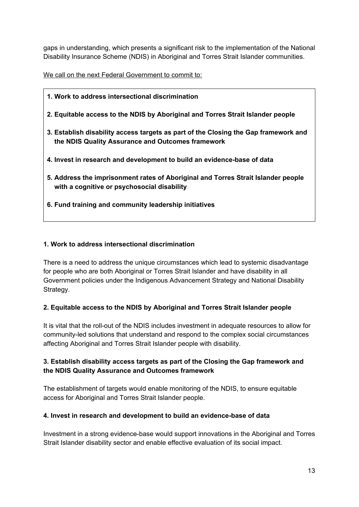gaps in understanding, which presents a significant risk to the implementation of the National Disability Insurance Scheme (NDIS) in Aboriginal and Torres Strait Islander communities.

We call on the next Federal Government to commit to:

- **1. Work to address intersectional discrimination**
- **2. Equitable access to the NDIS by Aboriginal and Torres Strait Islander people**
- **3. Establish disability access targets as part of the Closing the Gap framework and the NDIS Quality Assurance and Outcomes framework**
- **4. Invest in research and development to build an evidencebase of data**
- **5. Address the imprisonment rates of Aboriginal and Torres Strait Islander people with a cognitive or psychosocial disability**
- **6. Fund training and community leadership initiatives**

#### **1. Work to address intersectional discrimination**

There is a need to address the unique circumstances which lead to systemic disadvantage for people who are both Aboriginal or Torres Strait Islander and have disability in all Government policies under the Indigenous Advancement Strategy and National Disability Strategy.

#### **2. Equitable access to the NDIS by Aboriginal and Torres Strait Islander people**

It is vital that the roll-out of the NDIS includes investment in adequate resources to allow for community-led solutions that understand and respond to the complex social circumstances affecting Aboriginal and Torres Strait Islander people with disability.

#### **3. Establish disability access targets as part of the Closing the Gap framework and the NDIS Quality Assurance and Outcomes framework**

The establishment of targets would enable monitoring of the NDIS, to ensure equitable access for Aboriginal and Torres Strait Islander people.

#### **4. Invest in research and development to build an evidencebase of data**

Investment in a strong evidence-base would support innovations in the Aboriginal and Torres Strait Islander disability sector and enable effective evaluation of its social impact.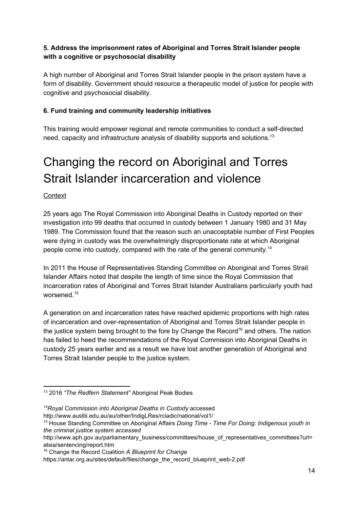## **5. Address the imprisonment rates of Aboriginal and Torres Strait Islander people with a cognitive or psychosocial disability**

A high number of Aboriginal and Torres Strait Islander people in the prison system have a form of disability. Government should resource a therapeutic model of justice for people with cognitive and psychosocial disability.

## **6. Fund training and community leadership initiatives**

This training would empower regional and remote communities to conduct a self-directed need, capacity and infrastructure analysis of disability supports and solutions.<sup>13</sup>

# <span id="page-14-0"></span>Changing the record on Aboriginal and Torres Strait Islander incarceration and violence

#### **Context**

25 years ago The Royal Commission into Aboriginal Deaths in Custody reported on their investigation into 99 deaths that occurred in custody between 1 January 1980 and 31 May 1989. The Commission found that the reason such an unacceptable number of First Peoples were dying in custody was the overwhelmingly disproportionate rate at which Aboriginal people come into custody, compared with the rate of the general community.<sup>14</sup>

In 2011 the House of Representatives Standing Committee on Aboriginal and Torres Strait Islander Affairs noted that despite the length of time since the Royal Commission that incarceration rates of Aboriginal and Torres Strait Islander Australians particularly youth had worsened. 15

A generation on and incarceration rates have reached epidemic proportions with high rates of incarceration and over-representation of Aboriginal and Torres Strait Islander people in the justice system being brought to the fore by Change the Record<sup>16</sup> and others. The nation has failed to heed the recommendations of the Royal Commision into Aboriginal Deaths in custody 25 years earlier and as a result we have lost another generation of Aboriginal and Torres Strait Islander people to the justice system.

<sup>13</sup> 2016 *"The Redfern Statement"* Aboriginal Peak Bodies

*<sup>14</sup>Royal Commission into Aboriginal Deaths in Custody* accessed

http://www.austlii.edu.au/au/other/IndigLRes/rciadic/national/vol1/

<sup>15</sup> House Standing Committee on Aboriginal Affairs *Doing Time Time For Doing: Indigenous youth in the criminal justice system accessed*

http://www.aph.gov.au/parliamentary\_business/committees/house\_of\_representatives\_committees?url= atsia/sentencing/report.htm

<sup>16</sup> Change the Record Coalition *A Blueprint for Change*

https://antar.org.au/sites/default/files/change\_the\_record\_blueprint\_web-2.pdf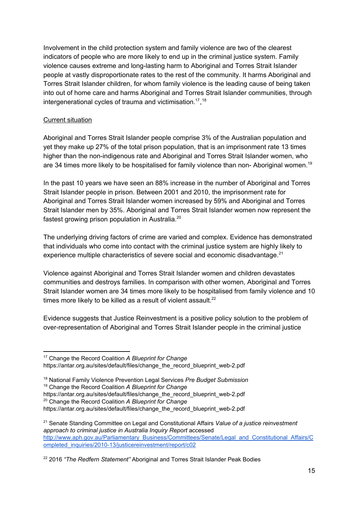Involvement in the child protection system and family violence are two of the clearest indicators of people who are more likely to end up in the criminal justice system. Family violence causes extreme and long-lasting harm to Aboriginal and Torres Strait Islander people at vastly disproportionate rates to the rest of the community. It harms Aboriginal and Torres Strait Islander children, for whom family violence is the leading cause of being taken into out of home care and harms Aboriginal and Torres Strait Islander communities, through intergenerational cycles of trauma and victimisation.<sup>17</sup>,  $18$ 

#### Current situation

Aboriginal and Torres Strait Islander people comprise 3% of the Australian population and yet they make up 27% of the total prison population, that is an imprisonment rate 13 times higher than the non-indigenous rate and Aboriginal and Torres Strait Islander women, who are 34 times more likely to be hospitalised for family violence than non- Aboriginal women.<sup>19</sup>

In the past 10 years we have seen an 88% increase in the number of Aboriginal and Torres Strait Islander people in prison. Between 2001 and 2010, the imprisonment rate for Aboriginal and Torres Strait Islander women increased by 59% and Aboriginal and Torres Strait Islander men by 35%. Aboriginal and Torres Strait Islander women now represent the fastest growing prison population in Australia.<sup>20</sup>

The underlying driving factors of crime are varied and complex. Evidence has demonstrated that individuals who come into contact with the criminal justice system are highly likely to experience multiple characteristics of severe social and economic disadvantage.<sup>21</sup>

Violence against Aboriginal and Torres Strait Islander women and children devastates communities and destroys families. In comparison with other women, Aboriginal and Torres Strait Islander women are 34 times more likely to be hospitalised from family violence and 10 times more likely to be killed as a result of violent assault. $22$ 

Evidence suggests that Justice Reinvestment is a positive policy solution to the problem of over-representation of Aboriginal and Torres Strait Islander people in the criminal justice

- <sup>19</sup> Change the Record Coalition *A Blueprint for Change*
- https://antar.org.au/sites/default/files/change\_the\_record\_blueprint\_web-2.pdf <sup>20</sup> Change the Record Coalition *A Blueprint for Change*

<sup>17</sup> Change the Record Coalition *A Blueprint for Change* https://antar.org.au/sites/default/files/change\_the\_record\_blueprint\_web-2.pdf

<sup>18</sup> National Family Violence Prevention Legal Services *Pre Budget Submission*

https://antar.org.au/sites/default/files/change\_the\_record\_blueprint\_web-2.pdf

<sup>21</sup> Senate Standing Committee on Legal and Constitutional Affairs *Value of a justice reinvestment approach to criminal justice in Australia Inquiry Report* accessed [http://www.aph.gov.au/Parliamentary\\_Business/Committees/Senate/Legal\\_and\\_Constitutional\\_Affairs/C](http://www.aph.gov.au/Parliamentary_Business/Committees/Senate/Legal_and_Constitutional_Affairs/Completed_inquiries/2010-13/justicereinvestment/report/c02) ompleted\_inquiries/2010-13/justicereinvestment/report/c02

<sup>22</sup> 2016 *"The Redfern Statement"* Aboriginal and Torres Strait Islander Peak Bodies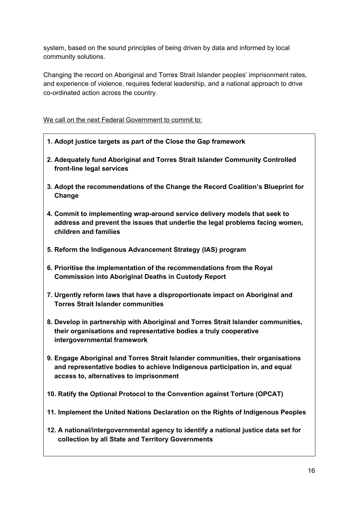system, based on the sound principles of being driven by data and informed by local community solutions.

Changing the record on Aboriginal and Torres Strait Islander peoples' imprisonment rates, and experience of violence, requires federal leadership, and a national approach to drive co-ordinated action across the country.

We call on the next Federal Government to commit to:

- **1. Adopt justice targets as part of the Close the Gap framework**
- **2. Adequately fund Aboriginal and Torres Strait Islander Community Controlled front-line legal services**
- **3. Adopt the recommendations of the Change the Record Coalition's Blueprint for Change**
- **4. Commit to implementing wraparound service delivery models that seek to address and prevent the issues that underlie the legal problems facing women, children and families**
- **5. Reform the Indigenous Advancement Strategy (IAS) program**
- **6. Prioritise the implementation of the recommendations from the Royal Commission into Aboriginal Deaths in Custody Report**
- **7. Urgently reform laws that have a disproportionate impact on Aboriginal and Torres Strait Islander communities**
- **8. Develop in partnership with Aboriginal and Torres Strait Islander communities, their organisations and representative bodies a truly cooperative intergovernmental framework**
- **9. Engage Aboriginal and Torres Strait Islander communities, their organisations and representative bodies to achieve Indigenous participation in, and equal access to, alternatives to imprisonment**
- **10. Ratify the Optional Protocol to the Convention against Torture (OPCAT)**
- **11. Implement the United Nations Declaration on the Rights of Indigenous Peoples**
- **12. A national/intergovernmental agency to identify a national justice data set for collection by all State and Territory Governments**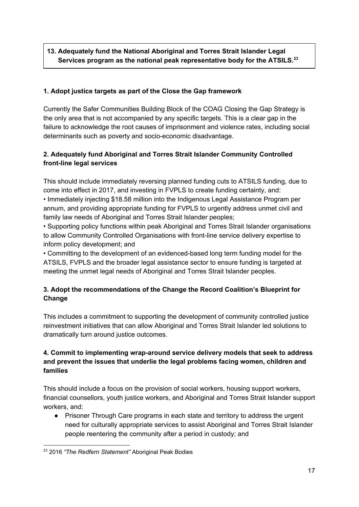## **13. Adequately fund the National Aboriginal and Torres Strait Islander Legal Services program as the national peak representative body for the ATSILS. 23**

## **1. Adopt justice targets as part of the Close the Gap framework**

Currently the Safer Communities Building Block of the COAG Closing the Gap Strategy is the only area that is not accompanied by any specific targets. This is a clear gap in the failure to acknowledge the root causes of imprisonment and violence rates, including social determinants such as poverty and socio-economic disadvantage.

## **2. Adequately fund Aboriginal and Torres Strait Islander Community Controlled front-line legal services**

This should include immediately reversing planned funding cuts to ATSILS funding, due to come into effect in 2017, and investing in FVPLS to create funding certainty, and: • Immediately injecting \$18.58 million into the Indigenous Legal Assistance Program per annum, and providing appropriate funding for FVPLS to urgently address unmet civil and family law needs of Aboriginal and Torres Strait Islander peoples;

• Supporting policy functions within peak Aboriginal and Torres Strait Islander organisations to allow Community Controlled Organisations with front-line service delivery expertise to inform policy development; and

• Committing to the development of an evidenced-based long term funding model for the ATSILS, FVPLS and the broader legal assistance sector to ensure funding is targeted at meeting the unmet legal needs of Aboriginal and Torres Strait Islander peoples.

## **3. Adopt the recommendations of the Change the Record Coalition's Blueprint for Change**

This includes a commitment to supporting the development of community controlled justice reinvestment initiatives that can allow Aboriginal and Torres Strait Islander led solutions to dramatically turn around justice outcomes.

## **4. Commit to implementing wraparound service delivery models that seek to address and prevent the issues that underlie the legal problems facing women, children and families**

This should include a focus on the provision of social workers, housing support workers, financial counsellors, youth justice workers, and Aboriginal and Torres Strait Islander support workers, and:

• Prisoner Through Care programs in each state and territory to address the urgent need for culturally appropriate services to assist Aboriginal and Torres Strait Islander people reentering the community after a period in custody; and

<sup>23</sup> 2016 *"The Redfern Statement"* Aboriginal Peak Bodies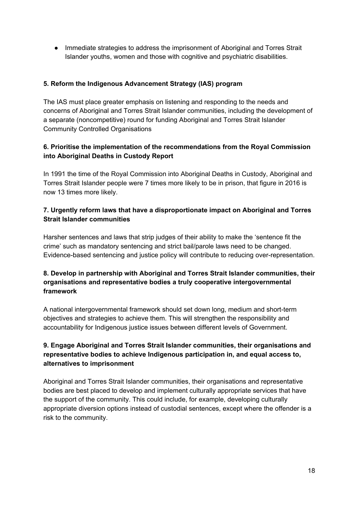● Immediate strategies to address the imprisonment of Aboriginal and Torres Strait Islander youths, women and those with cognitive and psychiatric disabilities.

### **5. Reform the Indigenous Advancement Strategy (IAS) program**

The IAS must place greater emphasis on listening and responding to the needs and concerns of Aboriginal and Torres Strait Islander communities, including the development of a separate (noncompetitive) round for funding Aboriginal and Torres Strait Islander Community Controlled Organisations

### **6. Prioritise the implementation of the recommendations from the Royal Commission into Aboriginal Deaths in Custody Report**

In 1991 the time of the Royal Commission into Aboriginal Deaths in Custody, Aboriginal and Torres Strait Islander people were 7 times more likely to be in prison, that figure in 2016 is now 13 times more likely.

### **7. Urgently reform laws that have a disproportionate impact on Aboriginal and Torres Strait Islander communities**

Harsher sentences and laws that strip judges of their ability to make the 'sentence fit the crime' such as mandatory sentencing and strict bail/parole laws need to be changed. Evidence-based sentencing and justice policy will contribute to reducing over-representation.

### **8. Develop in partnership with Aboriginal and Torres Strait Islander communities, their organisations and representative bodies a truly cooperative intergovernmental framework**

A national intergovernmental framework should set down long, medium and short-term objectives and strategies to achieve them. This will strengthen the responsibility and accountability for Indigenous justice issues between different levels of Government.

### **9. Engage Aboriginal and Torres Strait Islander communities, their organisations and representative bodies to achieve Indigenous participation in, and equal access to, alternatives to imprisonment**

Aboriginal and Torres Strait Islander communities, their organisations and representative bodies are best placed to develop and implement culturally appropriate services that have the support of the community. This could include, for example, developing culturally appropriate diversion options instead of custodial sentences, except where the offender is a risk to the community.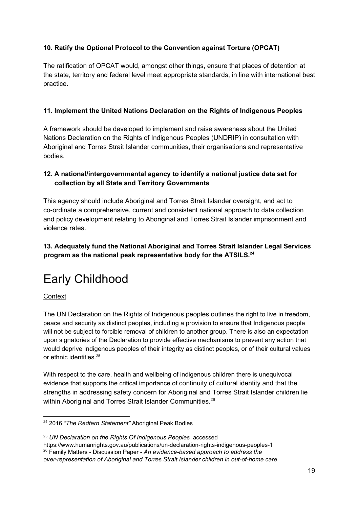## **10. Ratify the Optional Protocol to the Convention against Torture (OPCAT)**

The ratification of OPCAT would, amongst other things, ensure that places of detention at the state, territory and federal level meet appropriate standards, in line with international best practice.

## **11. Implement the United Nations Declaration on the Rights of Indigenous Peoples**

A framework should be developed to implement and raise awareness about the United Nations Declaration on the Rights of Indigenous Peoples (UNDRIP) in consultation with Aboriginal and Torres Strait Islander communities, their organisations and representative bodies.

## **12. A national/intergovernmental agency to identify a national justice data set for collection by all State and Territory Governments**

This agency should include Aboriginal and Torres Strait Islander oversight, and act to co-ordinate a comprehensive, current and consistent national approach to data collection and policy development relating to Aboriginal and Torres Strait Islander imprisonment and violence rates.

## **13. Adequately fund the National Aboriginal and Torres Strait Islander Legal Services program as the national peak representative body for the ATSILS. 24**

## <span id="page-19-0"></span>Early Childhood

#### **Context**

The UN Declaration on the Rights of Indigenous peoples outlines the right to live in freedom, peace and security as distinct peoples, including a provision to ensure that Indigenous people will not be subject to forcible removal of children to another group. There is also an expectation upon signatories of the Declaration to provide effective mechanisms to prevent any action that would deprive Indigenous peoples of their integrity as distinct peoples, or of their cultural values or ethnic identities. 25

With respect to the care, health and wellbeing of indigenous children there is unequivocal evidence that supports the critical importance of continuity of cultural identity and that the strengths in addressing safety concern for Aboriginal and Torres Strait Islander children lie within Aboriginal and Torres Strait Islander Communities.<sup>26</sup>

<sup>24</sup> 2016 *"The Redfern Statement"* Aboriginal Peak Bodies

<sup>25</sup> *UN Declaration on the Rights Of Indigenous Peoples* accessed

https://www.humanrights.gov.au/publications/un-declaration-rights-indigenous-peoples-1 <sup>26</sup> Family Matters Discussion Paper *An evidencebased approach to address the overrepresentation of Aboriginal and Torres Strait Islander children in outofhome care*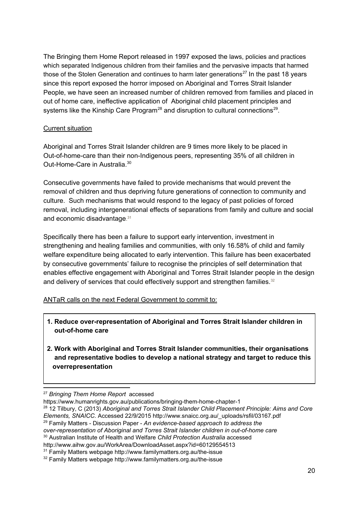The Bringing them Home Report released in 1997 exposed the laws, policies and practices which separated Indigenous children from their families and the pervasive impacts that harmed those of the Stolen Generation and continues to harm later generations<sup>27</sup> In the past 18 years since this report exposed the horror imposed on Aboriginal and Torres Strait Islander People, we have seen an increased number of children removed from families and placed in out of home care, ineffective application of Aboriginal child placement principles and systems like the Kinship Care Program<sup>28</sup> and disruption to cultural connections<sup>29</sup>.

#### Current situation

Aboriginal and Torres Strait Islander children are 9 times more likely to be placed in Out-of-home-care than their non-Indigenous peers, representing 35% of all children in Out-Home-Care in Australia.<sup>30</sup>

Consecutive governments have failed to provide mechanisms that would prevent the removal of children and thus depriving future generations of connection to community and culture. Such mechanisms that would respond to the legacy of past policies of forced removal, including intergenerational effects of separations from family and culture and social and economic disadvantage.<sup>31</sup>

Specifically there has been a failure to support early intervention, investment in strengthening and healing families and communities, with only 16.58% of child and family welfare expenditure being allocated to early intervention. This failure has been exacerbated by consecutive governments' failure to recognise the principles of self determination that enables effective engagement with Aboriginal and Torres Strait Islander people in the design and delivery of services that could effectively support and strengthen families. 32

ANTaR calls on the next Federal Government to commit to:

- **1. Reduce overrepresentation of Aboriginal and Torres Strait Islander children in out-of-home** care
- **2. Work with Aboriginal and Torres Strait Islander communities, their organisations and representative bodies to develop a national strategy and target to reduce this overrepresentation**

<sup>27</sup> *Bringing Them Home Report* accessed

https://www.humanrights.gov.au/publications/bringing-them-home-chapter-1

<sup>28</sup> 12 Tilbury, C (2013) *Aboriginal and Torres Strait Islander Child Placement Principle: Aims and Core Elements, SNAICC.* Accessed 22/9/2015 http://www.snaicc.org.au/\_uploads/rsfil/03167.pdf

<sup>29</sup> Family Matters Discussion Paper *An evidencebased approach to address the*

*overrepresentation of Aboriginal and Torres Strait Islander children in outofhome care*

<sup>30</sup> Australian Institute of Health and Welfare *Child Protection Australia* accessed

http://www.aihw.gov.au/WorkArea/DownloadAsset.aspx?id=60129554513

 $31$  Family Matters webpage http://www.familymatters.org.au/the-issue

 $32$  Family Matters webpage http://www.familymatters.org.au/the-issue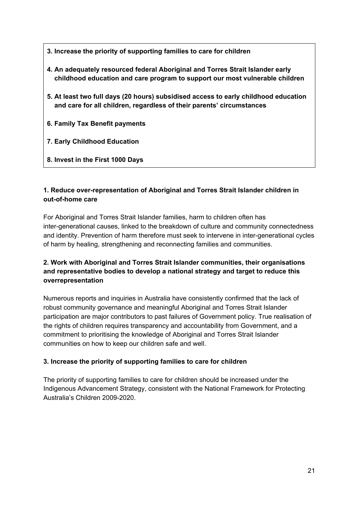- **3. Increase the priority of supporting families to care for children**
- **4. An adequately resourced federal Aboriginal and Torres Strait Islander early childhood education and care program to support our most vulnerable children**
- **5. At least two full days (20 hours) subsidised access to early childhood education and care for all children, regardless of their parents' circumstances**
- **6. Family Tax Benefit payments**
- **7. Early Childhood Education**
- **8. Invest in the First 1000 Days**

### **1. Reduce overrepresentation of Aboriginal and Torres Strait Islander children in out-of-home** care

For Aboriginal and Torres Strait Islander families, harm to children often has inter-generational causes, linked to the breakdown of culture and community connectedness and identity. Prevention of harm therefore must seek to intervene in inter-generational cycles of harm by healing, strengthening and reconnecting families and communities.

## **2. Work with Aboriginal and Torres Strait Islander communities, their organisations and representative bodies to develop a national strategy and target to reduce this overrepresentation**

Numerous reports and inquiries in Australia have consistently confirmed that the lack of robust community governance and meaningful Aboriginal and Torres Strait Islander participation are major contributors to past failures of Government policy. True realisation of the rights of children requires transparency and accountability from Government, and a commitment to prioritising the knowledge of Aboriginal and Torres Strait Islander communities on how to keep our children safe and well.

#### **3. Increase the priority of supporting families to care for children**

The priority of supporting families to care for children should be increased under the Indigenous Advancement Strategy, consistent with the National Framework for Protecting Australia's Children 2009-2020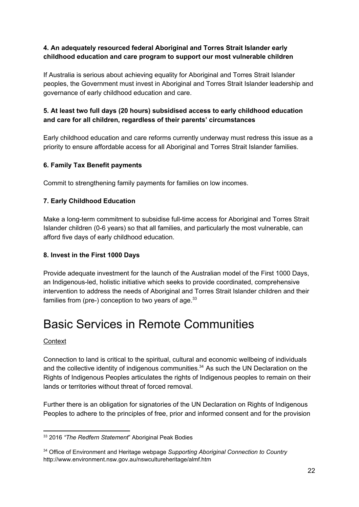### **4. An adequately resourced federal Aboriginal and Torres Strait Islander early childhood education and care program to support our most vulnerable children**

If Australia is serious about achieving equality for Aboriginal and Torres Strait Islander peoples, the Government must invest in Aboriginal and Torres Strait Islander leadership and governance of early childhood education and care.

### **5. At least two full days (20 hours) subsidised access to early childhood education and care for all children, regardless of their parents' circumstances**

Early childhood education and care reforms currently underway must redress this issue as a priority to ensure affordable access for all Aboriginal and Torres Strait Islander families.

### **6. Family Tax Benefit payments**

Commit to strengthening family payments for families on low incomes.

### **7. Early Childhood Education**

Make a long-term commitment to subsidise full-time access for Aboriginal and Torres Strait Islander children (06 years) so that all families, and particularly the most vulnerable, can afford five days of early childhood education.

#### **8. Invest in the First 1000 Days**

Provide adequate investment for the launch of the Australian model of the First 1000 Days, an Indigenous-led, holistic initiative which seeks to provide coordinated, comprehensive intervention to address the needs of Aboriginal and Torres Strait Islander children and their families from (pre-) conception to two years of age. $^{33}$ 

## <span id="page-22-0"></span>Basic Services in Remote Communities

#### **Context**

Connection to land is critical to the spiritual, cultural and economic wellbeing of individuals and the collective identity of indigenous communities. $34$  As such the UN Declaration on the Rights of Indigenous Peoples articulates the rights of Indigenous peoples to remain on their lands or territories without threat of forced removal.

Further there is an obligation for signatories of the UN Declaration on Rights of Indigenous Peoples to adhere to the principles of free, prior and informed consent and for the provision

<sup>33</sup> 2016 *"The Redfern Statement*" Aboriginal Peak Bodies

<sup>34</sup> Office of Environment and Heritage webpage *Supporting Aboriginal Connection to Country* http://www.environment.nsw.gov.au/nswcultureheritage/almf.htm